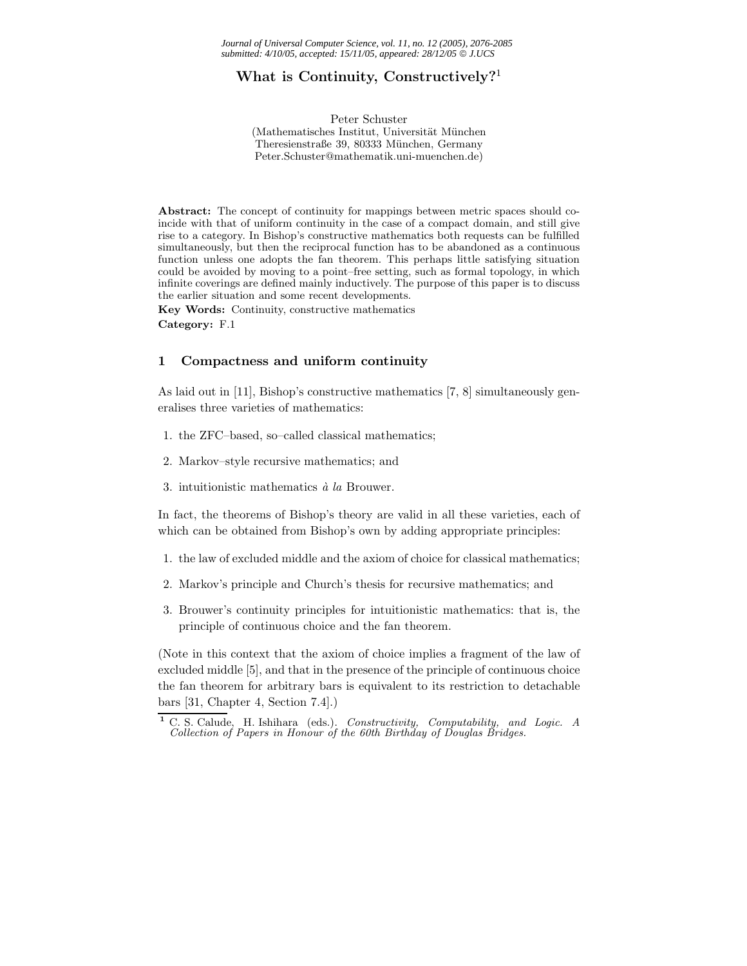# **What is Continuity, Constructively?**<sup>1</sup>

Peter Schuster (Mathematisches Institut, Universität München Theresienstraße 39, 80333 München, Germany Peter.Schuster@mathematik.uni-muenchen.de)

Abstract: The concept of continuity for mappings between metric spaces should coincide with that of uniform continuity in the case of a compact domain, and still give rise to a category. In Bishop's constructive mathematics both requests can be fulfilled simultaneously, but then the reciprocal function has to be abandoned as a continuous function unless one adopts the fan theorem. This perhaps little satisfying situation could be avoided by moving to a point–free setting, such as formal topology, in which infinite coverings are defined mainly inductively. The purpose of this paper is to discuss the earlier situation and some recent developments.

**Key Words:** Continuity, constructive mathematics **Category:** F.1

# **1 Compactness and uniform continuity**

As laid out in [11], Bishop's constructive mathematics [7, 8] simultaneously generalises three varieties of mathematics:

- 1. the ZFC–based, so–called classical mathematics;
- 2. Markov–style recursive mathematics; and
- 3. intuitionistic mathematics *`a la* Brouwer.

In fact, the theorems of Bishop's theory are valid in all these varieties, each of which can be obtained from Bishop's own by adding appropriate principles:

- 1. the law of excluded middle and the axiom of choice for classical mathematics;
- 2. Markov's principle and Church's thesis for recursive mathematics; and
- 3. Brouwer's continuity principles for intuitionistic mathematics: that is, the principle of continuous choice and the fan theorem.

(Note in this context that the axiom of choice implies a fragment of the law of excluded middle [5], and that in the presence of the principle of continuous choice the fan theorem for arbitrary bars is equivalent to its restriction to detachable bars [31, Chapter 4, Section 7.4].)

**<sup>1</sup>** C. S. Calude, H. Ishihara (eds.). *Constructivity, Computability, and Logic. A Collection of Papers in Honour of the 60th Birthday of Douglas Bridges.*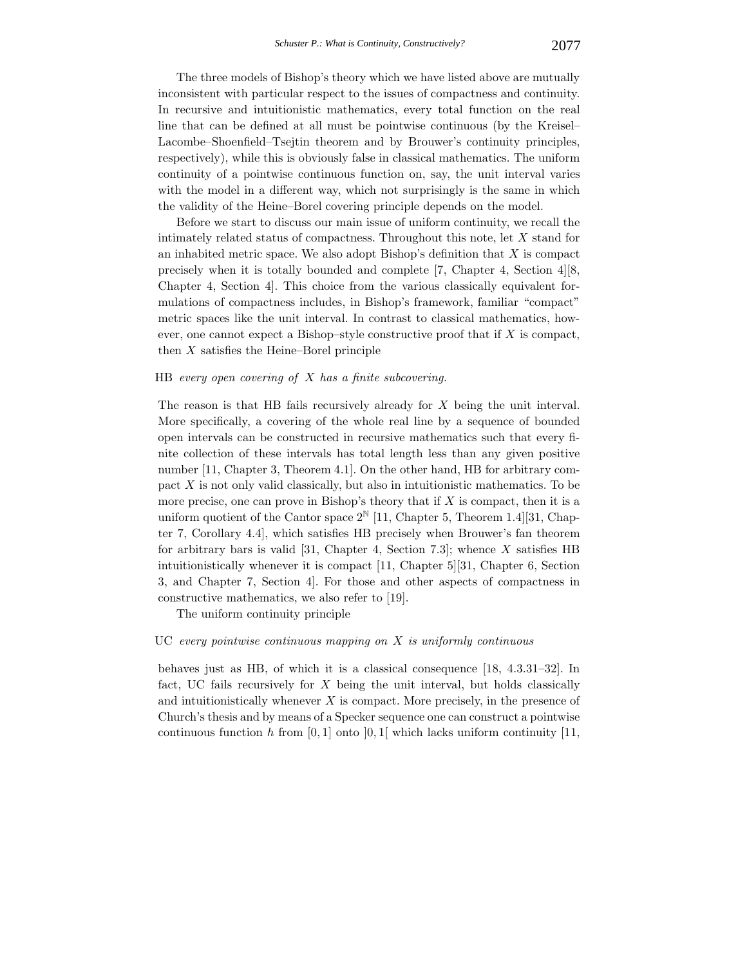The three models of Bishop's theory which we have listed above are mutually inconsistent with particular respect to the issues of compactness and continuity. In recursive and intuitionistic mathematics, every total function on the real line that can be defined at all must be pointwise continuous (by the Kreisel– Lacombe–Shoenfield–Tsejtin theorem and by Brouwer's continuity principles, respectively), while this is obviously false in classical mathematics. The uniform continuity of a pointwise continuous function on, say, the unit interval varies with the model in a different way, which not surprisingly is the same in which the validity of the Heine–Borel covering principle depends on the model.

Before we start to discuss our main issue of uniform continuity, we recall the intimately related status of compactness. Throughout this note, let X stand for an inhabited metric space. We also adopt Bishop's definition that  $X$  is compact precisely when it is totally bounded and complete [7, Chapter 4, Section 4][8, Chapter 4, Section 4]. This choice from the various classically equivalent formulations of compactness includes, in Bishop's framework, familiar "compact" metric spaces like the unit interval. In contrast to classical mathematics, however, one cannot expect a Bishop–style constructive proof that if  $X$  is compact, then  $X$  satisfies the Heine–Borel principle

# HB *every open covering of* X *has a finite subcovering.*

The reason is that HB fails recursively already for X being the unit interval. More specifically, a covering of the whole real line by a sequence of bounded open intervals can be constructed in recursive mathematics such that every finite collection of these intervals has total length less than any given positive number [11, Chapter 3, Theorem 4.1]. On the other hand, HB for arbitrary compact X is not only valid classically, but also in intuitionistic mathematics. To be more precise, one can prove in Bishop's theory that if  $X$  is compact, then it is a uniform quotient of the Cantor space  $2^{\mathbb{N}}$  [11, Chapter 5, Theorem 1.4][31, Chapter 7, Corollary 4.4], which satisfies HB precisely when Brouwer's fan theorem for arbitrary bars is valid [31, Chapter 4, Section 7.3]; whence X satisfies HB intuitionistically whenever it is compact [11, Chapter 5][31, Chapter 6, Section 3, and Chapter 7, Section 4]. For those and other aspects of compactness in constructive mathematics, we also refer to [19].

The uniform continuity principle

#### UC *every pointwise continuous mapping on* X *is uniformly continuous*

behaves just as HB, of which it is a classical consequence [18, 4.3.31–32]. In fact, UC fails recursively for  $X$  being the unit interval, but holds classically and intuitionistically whenever  $X$  is compact. More precisely, in the presence of Church's thesis and by means of a Specker sequence one can construct a pointwise continuous function h from  $[0, 1]$  onto  $[0, 1]$  which lacks uniform continuity  $[11, 1]$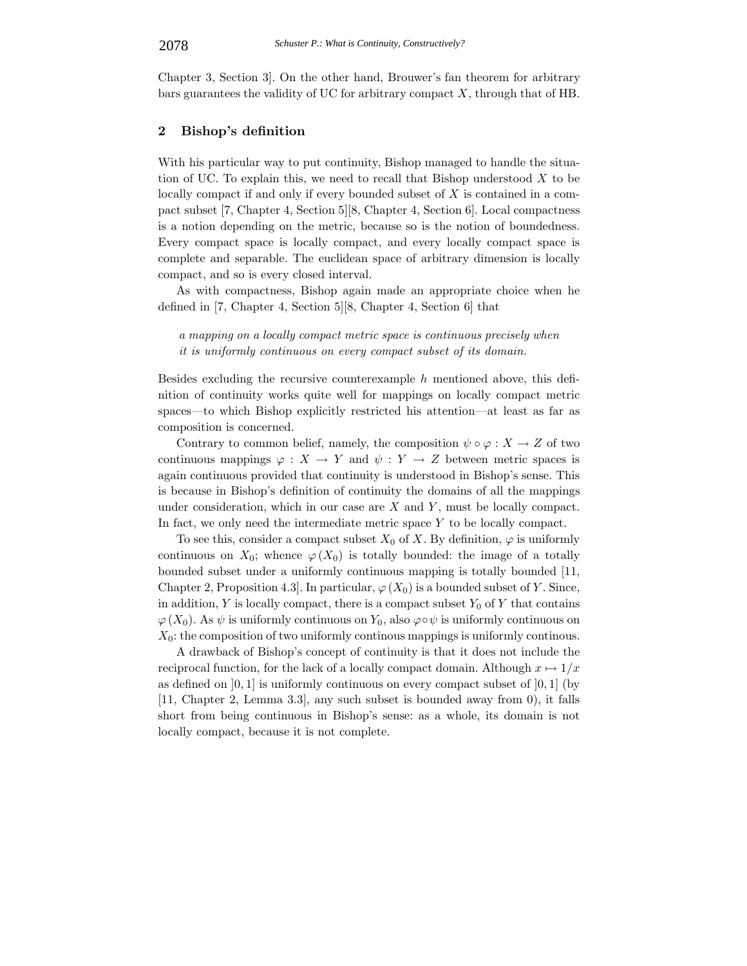Chapter 3, Section 3]. On the other hand, Brouwer's fan theorem for arbitrary bars guarantees the validity of UC for arbitrary compact  $X$ , through that of HB.

# **2 Bishop's definition**

With his particular way to put continuity, Bishop managed to handle the situation of UC. To explain this, we need to recall that Bishop understood  $X$  to be locally compact if and only if every bounded subset of X is contained in a compact subset [7, Chapter 4, Section 5][8, Chapter 4, Section 6]. Local compactness is a notion depending on the metric, because so is the notion of boundedness. Every compact space is locally compact, and every locally compact space is complete and separable. The euclidean space of arbitrary dimension is locally compact, and so is every closed interval.

As with compactness, Bishop again made an appropriate choice when he defined in [7, Chapter 4, Section 5][8, Chapter 4, Section 6] that

*a mapping on a locally compact metric space is continuous precisely when it is uniformly continuous on every compact subset of its domain.*

Besides excluding the recursive counterexample h mentioned above, this definition of continuity works quite well for mappings on locally compact metric spaces—to which Bishop explicitly restricted his attention—at least as far as composition is concerned.

Contrary to common belief, namely, the composition  $\psi \circ \varphi : X \to Z$  of two continuous mappings  $\varphi: X \to Y$  and  $\psi: Y \to Z$  between metric spaces is again continuous provided that continuity is understood in Bishop's sense. This is because in Bishop's definition of continuity the domains of all the mappings under consideration, which in our case are  $X$  and  $Y$ , must be locally compact. In fact, we only need the intermediate metric space  $Y$  to be locally compact.

To see this, consider a compact subset  $X_0$  of X. By definition,  $\varphi$  is uniformly continuous on  $X_0$ ; whence  $\varphi(X_0)$  is totally bounded: the image of a totally bounded subset under a uniformly continuous mapping is totally bounded [11, Chapter 2, Proposition 4.3. In particular,  $\varphi(X_0)$  is a bounded subset of Y. Since, in addition, Y is locally compact, there is a compact subset  $Y_0$  of Y that contains  $\varphi(X_0)$ . As  $\psi$  is uniformly continuous on  $Y_0$ , also  $\varphi \circ \psi$  is uniformly continuous on  $X_0$ : the composition of two uniformly continous mappings is uniformly continous.

A drawback of Bishop's concept of continuity is that it does not include the reciprocal function, for the lack of a locally compact domain. Although  $x \mapsto 1/x$ as defined on  $[0, 1]$  is uniformly continuous on every compact subset of  $[0, 1]$  (by [11, Chapter 2, Lemma 3.3], any such subset is bounded away from 0), it falls short from being continuous in Bishop's sense: as a whole, its domain is not locally compact, because it is not complete.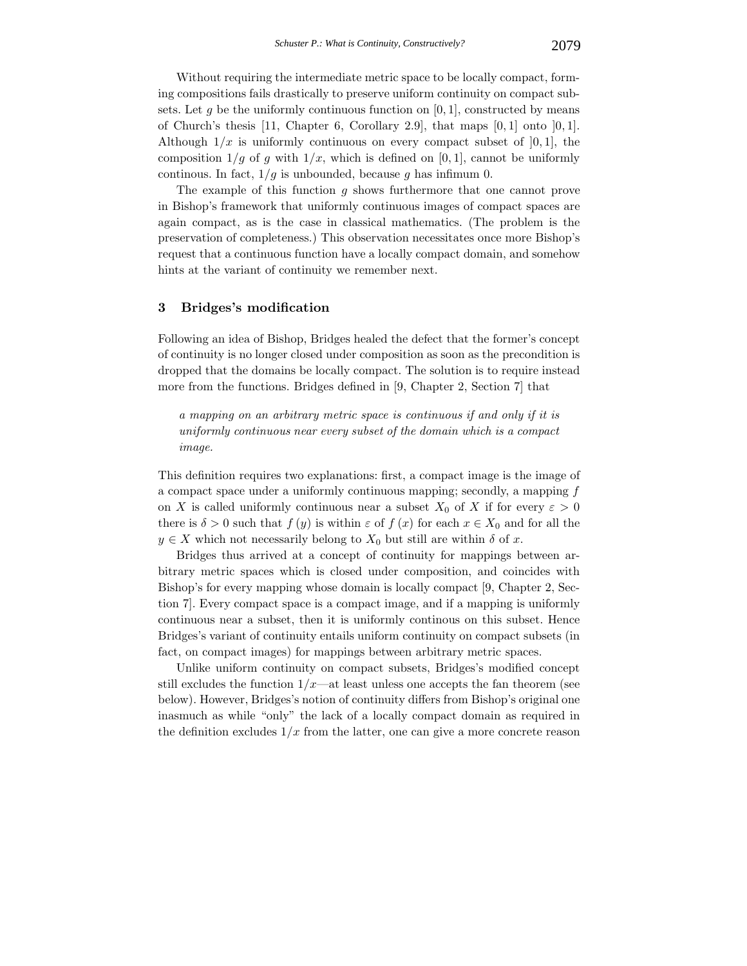Without requiring the intermediate metric space to be locally compact, forming compositions fails drastically to preserve uniform continuity on compact subsets. Let q be the uniformly continuous function on [0, 1], constructed by means of Church's thesis  $[11,$  Chapter 6, Corollary 2.9, that maps  $[0, 1]$  onto  $[0, 1]$ . Although  $1/x$  is uniformly continuous on every compact subset of [0, 1], the composition  $1/g$  of g with  $1/x$ , which is defined on [0, 1], cannot be uniformly continous. In fact,  $1/g$  is unbounded, because g has infimum 0.

The example of this function  $g$  shows furthermore that one cannot prove in Bishop's framework that uniformly continuous images of compact spaces are again compact, as is the case in classical mathematics. (The problem is the preservation of completeness.) This observation necessitates once more Bishop's request that a continuous function have a locally compact domain, and somehow hints at the variant of continuity we remember next.

#### **3 Bridges's modification**

Following an idea of Bishop, Bridges healed the defect that the former's concept of continuity is no longer closed under composition as soon as the precondition is dropped that the domains be locally compact. The solution is to require instead more from the functions. Bridges defined in [9, Chapter 2, Section 7] that

*a mapping on an arbitrary metric space is continuous if and only if it is uniformly continuous near every subset of the domain which is a compact image.*

This definition requires two explanations: first, a compact image is the image of a compact space under a uniformly continuous mapping; secondly, a mapping f on X is called uniformly continuous near a subset  $X_0$  of X if for every  $\varepsilon > 0$ there is  $\delta > 0$  such that  $f(y)$  is within  $\varepsilon$  of  $f(x)$  for each  $x \in X_0$  and for all the  $y \in X$  which not necessarily belong to  $X_0$  but still are within  $\delta$  of x.

Bridges thus arrived at a concept of continuity for mappings between arbitrary metric spaces which is closed under composition, and coincides with Bishop's for every mapping whose domain is locally compact [9, Chapter 2, Section 7]. Every compact space is a compact image, and if a mapping is uniformly continuous near a subset, then it is uniformly continous on this subset. Hence Bridges's variant of continuity entails uniform continuity on compact subsets (in fact, on compact images) for mappings between arbitrary metric spaces.

Unlike uniform continuity on compact subsets, Bridges's modified concept still excludes the function  $1/x$ —at least unless one accepts the fan theorem (see below). However, Bridges's notion of continuity differs from Bishop's original one inasmuch as while "only" the lack of a locally compact domain as required in the definition excludes  $1/x$  from the latter, one can give a more concrete reason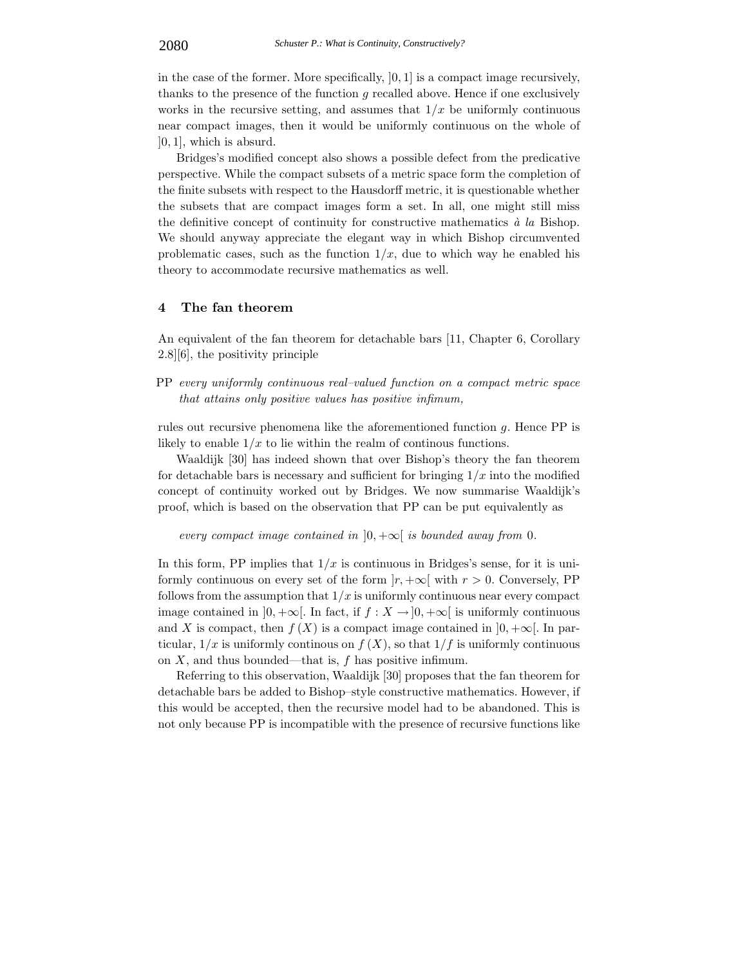in the case of the former. More specifically,  $[0, 1]$  is a compact image recursively, thanks to the presence of the function  $g$  recalled above. Hence if one exclusively works in the recursive setting, and assumes that  $1/x$  be uniformly continuous near compact images, then it would be uniformly continuous on the whole of  $[0, 1]$ , which is absurd.

Bridges's modified concept also shows a possible defect from the predicative perspective. While the compact subsets of a metric space form the completion of the finite subsets with respect to the Hausdorff metric, it is questionable whether the subsets that are compact images form a set. In all, one might still miss the definitive concept of continuity for constructive mathematics  $\dot{a}$  la Bishop. We should anyway appreciate the elegant way in which Bishop circumvented problematic cases, such as the function  $1/x$ , due to which way he enabled his theory to accommodate recursive mathematics as well.

#### **4 The fan theorem**

An equivalent of the fan theorem for detachable bars [11, Chapter 6, Corollary 2.8][6], the positivity principle

PP *every uniformly continuous real–valued function on a compact metric space that attains only positive values has positive infimum,*

rules out recursive phenomena like the aforementioned function g. Hence PP is likely to enable  $1/x$  to lie within the realm of continuous functions.

Waaldijk [30] has indeed shown that over Bishop's theory the fan theorem for detachable bars is necessary and sufficient for bringing  $1/x$  into the modified concept of continuity worked out by Bridges. We now summarise Waaldijk's proof, which is based on the observation that PP can be put equivalently as

*every compact image contained in*  $]0, +\infty[$  *is bounded away from* 0*.* 

In this form, PP implies that  $1/x$  is continuous in Bridges's sense, for it is uniformly continuous on every set of the form  $|r, +\infty[$  with  $r > 0$ . Conversely, PP follows from the assumption that  $1/x$  is uniformly continuous near every compact image contained in  $]0, +\infty[$ . In fact, if  $f : X \to ]0, +\infty[$  is uniformly continuous and X is compact, then  $f(X)$  is a compact image contained in  $]0, +\infty[$ . In particular,  $1/x$  is uniformly continuous on  $f(X)$ , so that  $1/f$  is uniformly continuous on  $X$ , and thus bounded—that is,  $f$  has positive infimum.

Referring to this observation, Waaldijk [30] proposes that the fan theorem for detachable bars be added to Bishop–style constructive mathematics. However, if this would be accepted, then the recursive model had to be abandoned. This is not only because PP is incompatible with the presence of recursive functions like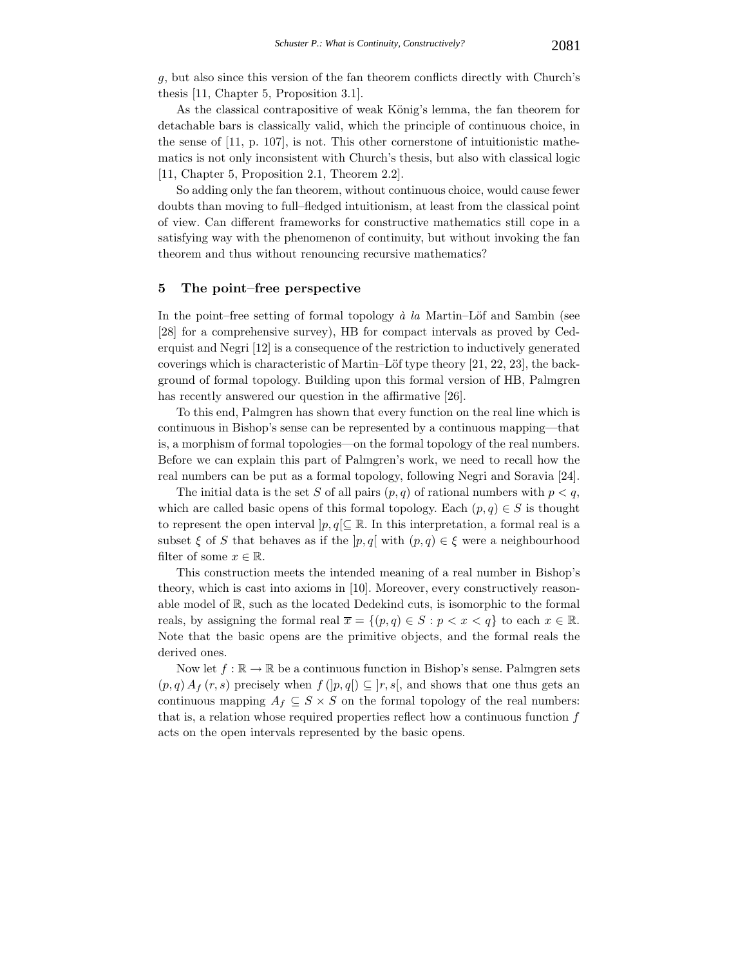g, but also since this version of the fan theorem conflicts directly with Church's thesis [11, Chapter 5, Proposition 3.1].

As the classical contrapositive of weak König's lemma, the fan theorem for detachable bars is classically valid, which the principle of continuous choice, in the sense of [11, p. 107], is not. This other cornerstone of intuitionistic mathematics is not only inconsistent with Church's thesis, but also with classical logic [11, Chapter 5, Proposition 2.1, Theorem 2.2].

So adding only the fan theorem, without continuous choice, would cause fewer doubts than moving to full–fledged intuitionism, at least from the classical point of view. Can different frameworks for constructive mathematics still cope in a satisfying way with the phenomenon of continuity, but without invoking the fan theorem and thus without renouncing recursive mathematics?

#### **5 The point–free perspective**

In the point–free setting of formal topology  $\dot{a}$  la Martin–Löf and Sambin (see [28] for a comprehensive survey), HB for compact intervals as proved by Cederquist and Negri [12] is a consequence of the restriction to inductively generated coverings which is characteristic of Martin–Löf type theory  $[21, 22, 23]$ , the background of formal topology. Building upon this formal version of HB, Palmgren has recently answered our question in the affirmative [26].

To this end, Palmgren has shown that every function on the real line which is continuous in Bishop's sense can be represented by a continuous mapping—that is, a morphism of formal topologies—on the formal topology of the real numbers. Before we can explain this part of Palmgren's work, we need to recall how the real numbers can be put as a formal topology, following Negri and Soravia [24].

The initial data is the set S of all pairs  $(p, q)$  of rational numbers with  $p < q$ , which are called basic opens of this formal topology. Each  $(p, q) \in S$  is thought to represent the open interval  $|p, q| \subseteq \mathbb{R}$ . In this interpretation, a formal real is a subset  $\xi$  of S that behaves as if the  $|p,q|$  with  $(p,q) \in \xi$  were a neighbourhood filter of some  $x \in \mathbb{R}$ .

This construction meets the intended meaning of a real number in Bishop's theory, which is cast into axioms in [10]. Moreover, every constructively reasonable model of R, such as the located Dedekind cuts, is isomorphic to the formal reals, by assigning the formal real  $\overline{x} = \{(p, q) \in S : p < x < q\}$  to each  $x \in \mathbb{R}$ . Note that the basic opens are the primitive objects, and the formal reals the derived ones.

Now let  $f : \mathbb{R} \to \mathbb{R}$  be a continuous function in Bishop's sense. Palmgren sets  $(p, q) A_f(r, s)$  precisely when  $f(|p, q|) \subseteq |r, s|$ , and shows that one thus gets an continuous mapping  $A_f \subseteq S \times S$  on the formal topology of the real numbers: that is, a relation whose required properties reflect how a continuous function  $f$ acts on the open intervals represented by the basic opens.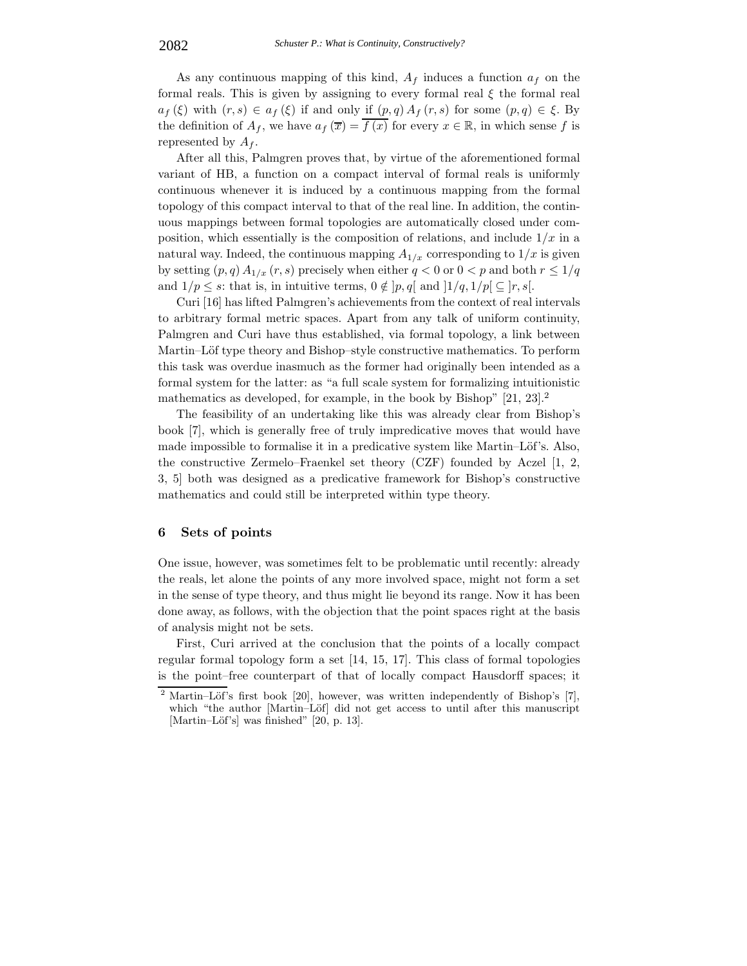As any continuous mapping of this kind,  $A_f$  induces a function  $a_f$  on the formal reals. This is given by assigning to every formal real  $\xi$  the formal real  $a_f(\xi)$  with  $(r, s) \in a_f(\xi)$  if and only if  $(p, q) A_f(r, s)$  for some  $(p, q) \in \xi$ . By the definition of  $A_f$ , we have  $a_f(\overline{x}) = f(x)$  for every  $x \in \mathbb{R}$ , in which sense f is represented by  $A_f$ .

After all this, Palmgren proves that, by virtue of the aforementioned formal variant of HB, a function on a compact interval of formal reals is uniformly continuous whenever it is induced by a continuous mapping from the formal topology of this compact interval to that of the real line. In addition, the continuous mappings between formal topologies are automatically closed under composition, which essentially is the composition of relations, and include  $1/x$  in a natural way. Indeed, the continuous mapping  $A_{1/x}$  corresponding to  $1/x$  is given by setting  $(p, q) A_{1/x} (r, s)$  precisely when either  $q < 0$  or  $0 < p$  and both  $r \leq 1/q$ and  $1/p \leq s$ : that is, in intuitive terms,  $0 \notin [p, q]$  and  $\frac{1}{q}, \frac{1}{p} \subseteq [r, s]$ .

Curi [16] has lifted Palmgren's achievements from the context of real intervals to arbitrary formal metric spaces. Apart from any talk of uniform continuity, Palmgren and Curi have thus established, via formal topology, a link between Martin–Löf type theory and Bishop–style constructive mathematics. To perform this task was overdue inasmuch as the former had originally been intended as a formal system for the latter: as "a full scale system for formalizing intuitionistic mathematics as developed, for example, in the book by Bishop" [21, 23].<sup>2</sup>

The feasibility of an undertaking like this was already clear from Bishop's book [7], which is generally free of truly impredicative moves that would have made impossible to formalise it in a predicative system like Martin–Löf's. Also, the constructive Zermelo–Fraenkel set theory (CZF) founded by Aczel [1, 2, 3, 5] both was designed as a predicative framework for Bishop's constructive mathematics and could still be interpreted within type theory.

### **6 Sets of points**

One issue, however, was sometimes felt to be problematic until recently: already the reals, let alone the points of any more involved space, might not form a set in the sense of type theory, and thus might lie beyond its range. Now it has been done away, as follows, with the objection that the point spaces right at the basis of analysis might not be sets.

First, Curi arrived at the conclusion that the points of a locally compact regular formal topology form a set [14, 15, 17]. This class of formal topologies is the point–free counterpart of that of locally compact Hausdorff spaces; it

Martin–Löf's first book [20], however, was written independently of Bishop's [7], which "the author [Martin–Löf] did not get access to until after this manuscript [Martin–Löf's] was finished" [20, p. 13].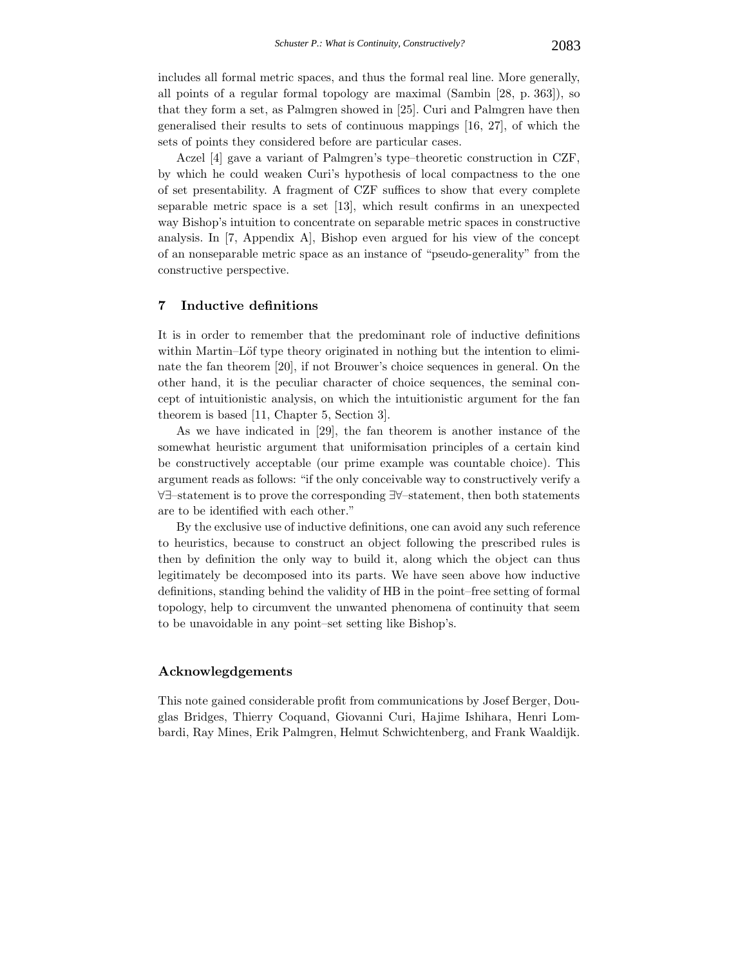includes all formal metric spaces, and thus the formal real line. More generally, all points of a regular formal topology are maximal (Sambin [28, p. 363]), so that they form a set, as Palmgren showed in [25]. Curi and Palmgren have then generalised their results to sets of continuous mappings [16, 27], of which the sets of points they considered before are particular cases.

Aczel [4] gave a variant of Palmgren's type–theoretic construction in CZF, by which he could weaken Curi's hypothesis of local compactness to the one of set presentability. A fragment of CZF suffices to show that every complete separable metric space is a set [13], which result confirms in an unexpected way Bishop's intuition to concentrate on separable metric spaces in constructive analysis. In [7, Appendix A], Bishop even argued for his view of the concept of an nonseparable metric space as an instance of "pseudo-generality" from the constructive perspective.

# **7 Inductive definitions**

It is in order to remember that the predominant role of inductive definitions within Martin–Löf type theory originated in nothing but the intention to eliminate the fan theorem [20], if not Brouwer's choice sequences in general. On the other hand, it is the peculiar character of choice sequences, the seminal concept of intuitionistic analysis, on which the intuitionistic argument for the fan theorem is based [11, Chapter 5, Section 3].

As we have indicated in [29], the fan theorem is another instance of the somewhat heuristic argument that uniformisation principles of a certain kind be constructively acceptable (our prime example was countable choice). This argument reads as follows: "if the only conceivable way to constructively verify a ∀∃–statement is to prove the corresponding ∃∀–statement, then both statements are to be identified with each other."

By the exclusive use of inductive definitions, one can avoid any such reference to heuristics, because to construct an object following the prescribed rules is then by definition the only way to build it, along which the object can thus legitimately be decomposed into its parts. We have seen above how inductive definitions, standing behind the validity of HB in the point–free setting of formal topology, help to circumvent the unwanted phenomena of continuity that seem to be unavoidable in any point–set setting like Bishop's.

## **Acknowlegdgements**

This note gained considerable profit from communications by Josef Berger, Douglas Bridges, Thierry Coquand, Giovanni Curi, Hajime Ishihara, Henri Lombardi, Ray Mines, Erik Palmgren, Helmut Schwichtenberg, and Frank Waaldijk.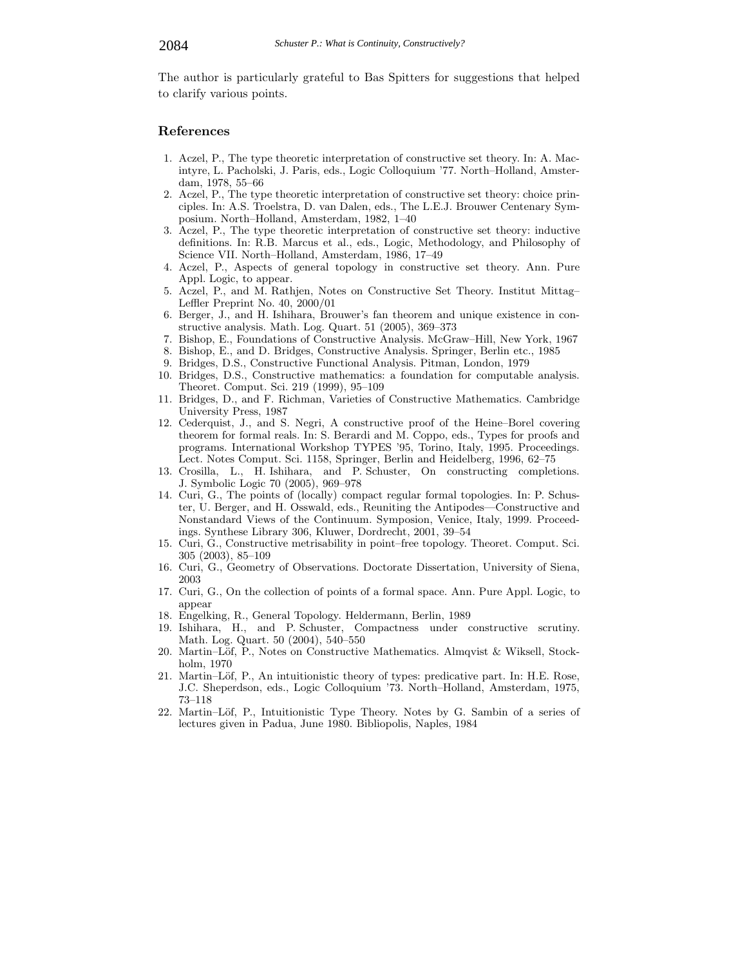The author is particularly grateful to Bas Spitters for suggestions that helped to clarify various points.

#### **References**

- 1. Aczel, P., The type theoretic interpretation of constructive set theory. In: A. Macintyre, L. Pacholski, J. Paris, eds., Logic Colloquium '77. North–Holland, Amsterdam, 1978, 55–66
- 2. Aczel, P., The type theoretic interpretation of constructive set theory: choice principles. In: A.S. Troelstra, D. van Dalen, eds., The L.E.J. Brouwer Centenary Symposium. North–Holland, Amsterdam, 1982, 1–40
- 3. Aczel, P., The type theoretic interpretation of constructive set theory: inductive definitions. In: R.B. Marcus et al., eds., Logic, Methodology, and Philosophy of Science VII. North–Holland, Amsterdam, 1986, 17–49
- 4. Aczel, P., Aspects of general topology in constructive set theory. Ann. Pure Appl. Logic, to appear.
- 5. Aczel, P., and M. Rathjen, Notes on Constructive Set Theory. Institut Mittag– Leffler Preprint No. 40, 2000/01
- 6. Berger, J., and H. Ishihara, Brouwer's fan theorem and unique existence in constructive analysis. Math. Log. Quart. 51 (2005), 369–373
- 7. Bishop, E., Foundations of Constructive Analysis. McGraw–Hill, New York, 1967
- 8. Bishop, E., and D. Bridges, Constructive Analysis. Springer, Berlin etc., 1985
- 9. Bridges, D.S., Constructive Functional Analysis. Pitman, London, 1979
- 10. Bridges, D.S., Constructive mathematics: a foundation for computable analysis. Theoret. Comput. Sci. 219 (1999), 95–109
- 11. Bridges, D., and F. Richman, Varieties of Constructive Mathematics. Cambridge University Press, 1987
- 12. Cederquist, J., and S. Negri, A constructive proof of the Heine–Borel covering theorem for formal reals. In: S. Berardi and M. Coppo, eds., Types for proofs and programs. International Workshop TYPES '95, Torino, Italy, 1995. Proceedings. Lect. Notes Comput. Sci. 1158, Springer, Berlin and Heidelberg, 1996, 62–75
- 13. Crosilla, L., H. Ishihara, and P. Schuster, On constructing completions. J. Symbolic Logic 70 (2005), 969–978
- 14. Curi, G., The points of (locally) compact regular formal topologies. In: P. Schuster, U. Berger, and H. Osswald, eds., Reuniting the Antipodes—Constructive and Nonstandard Views of the Continuum. Symposion, Venice, Italy, 1999. Proceedings. Synthese Library 306, Kluwer, Dordrecht, 2001, 39–54
- 15. Curi, G., Constructive metrisability in point–free topology. Theoret. Comput. Sci. 305 (2003), 85–109
- 16. Curi, G., Geometry of Observations. Doctorate Dissertation, University of Siena, 2003
- 17. Curi, G., On the collection of points of a formal space. Ann. Pure Appl. Logic, to appear
- 18. Engelking, R., General Topology. Heldermann, Berlin, 1989
- 19. Ishihara, H., and P. Schuster, Compactness under constructive scrutiny. Math. Log. Quart. 50 (2004), 540–550
- 20. Martin–Löf, P., Notes on Constructive Mathematics. Almqvist & Wiksell, Stockholm, 1970
- 21. Martin–Löf, P., An intuitionistic theory of types: predicative part. In: H.E. Rose, J.C. Sheperdson, eds., Logic Colloquium '73. North–Holland, Amsterdam, 1975, 73–118
- 22. Martin–Löf, P., Intuitionistic Type Theory. Notes by G. Sambin of a series of lectures given in Padua, June 1980. Bibliopolis, Naples, 1984